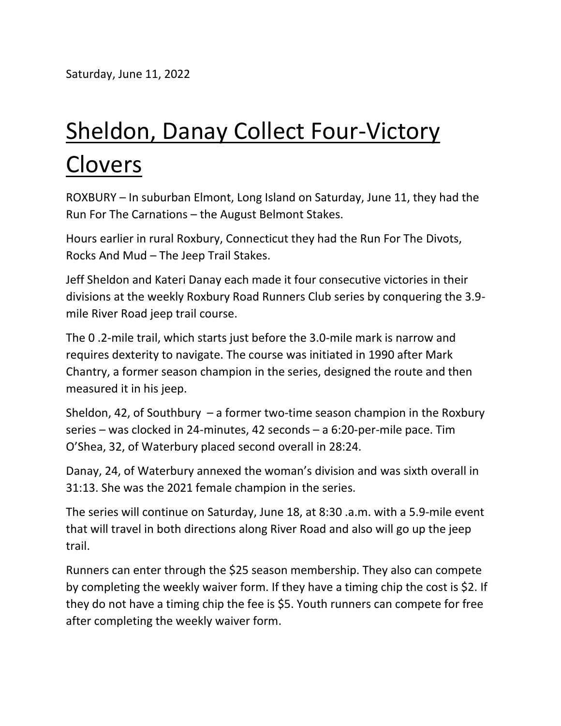Saturday, June 11, 2022

## Sheldon, Danay Collect Four-Victory Clovers

ROXBURY – In suburban Elmont, Long Island on Saturday, June 11, they had the Run For The Carnations – the August Belmont Stakes.

Hours earlier in rural Roxbury, Connecticut they had the Run For The Divots, Rocks And Mud – The Jeep Trail Stakes.

Jeff Sheldon and Kateri Danay each made it four consecutive victories in their divisions at the weekly Roxbury Road Runners Club series by conquering the 3.9 mile River Road jeep trail course.

The 0 .2-mile trail, which starts just before the 3.0-mile mark is narrow and requires dexterity to navigate. The course was initiated in 1990 after Mark Chantry, a former season champion in the series, designed the route and then measured it in his jeep.

Sheldon, 42, of Southbury  $-$  a former two-time season champion in the Roxbury series – was clocked in 24-minutes, 42 seconds – a 6:20-per-mile pace. Tim O'Shea, 32, of Waterbury placed second overall in 28:24.

Danay, 24, of Waterbury annexed the woman's division and was sixth overall in 31:13. She was the 2021 female champion in the series.

The series will continue on Saturday, June 18, at 8:30 .a.m. with a 5.9-mile event that will travel in both directions along River Road and also will go up the jeep trail.

Runners can enter through the \$25 season membership. They also can compete by completing the weekly waiver form. If they have a timing chip the cost is \$2. If they do not have a timing chip the fee is \$5. Youth runners can compete for free after completing the weekly waiver form.